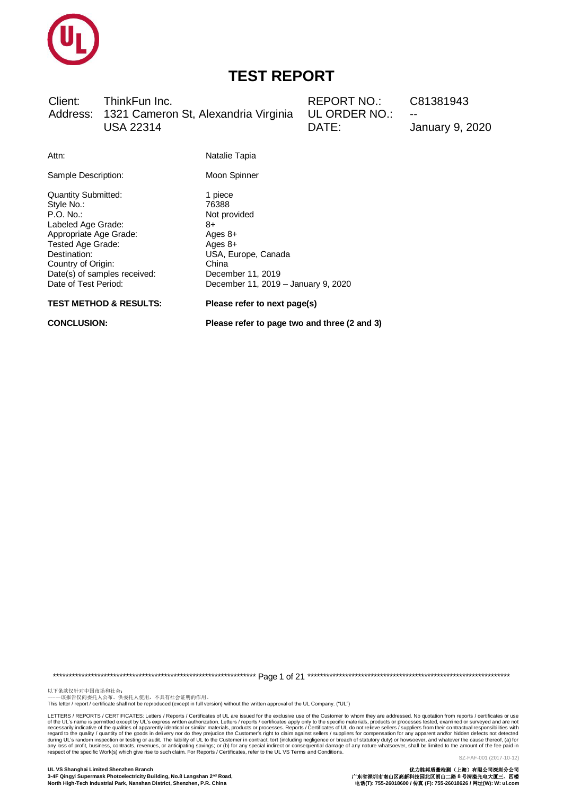

Client: ThinkFun Inc. Address: 1321 Cameron St, Alexandria Virginia **USA 22314** 

**REPORT NO.:** UL ORDER NO.: DATE:

C81381943

**January 9, 2020** 

| Attn:                                                                                                                                                                                                                   | Natalie Tapia                                                                                                                                              |
|-------------------------------------------------------------------------------------------------------------------------------------------------------------------------------------------------------------------------|------------------------------------------------------------------------------------------------------------------------------------------------------------|
| Sample Description:                                                                                                                                                                                                     | Moon Spinner                                                                                                                                               |
| <b>Quantity Submitted:</b><br>Style No.:<br>P.O. No.<br>Labeled Age Grade:<br>Appropriate Age Grade:<br>Tested Age Grade:<br>Destination:<br>Country of Origin:<br>Date(s) of samples received:<br>Date of Test Period: | 1 piece<br>76388<br>Not provided<br>8+<br>Ages 8+<br>Ages $8+$<br>USA, Europe, Canada<br>China<br>December 11, 2019<br>December 11, 2019 - January 9, 2020 |

**TEST METHOD & RESULTS:** 

**CONCLUSION:** 

Please refer to next page(s)

Please refer to page two and three (2 and 3)

以下条款仅针对中国市场和社会:<br>-----该报告仅向委托人公布、供委托人使用,不具有社会证明的作用。

This letter / report / certificate shall not be reproduced (except in full version) without the written approval of the UL Company. ("UL")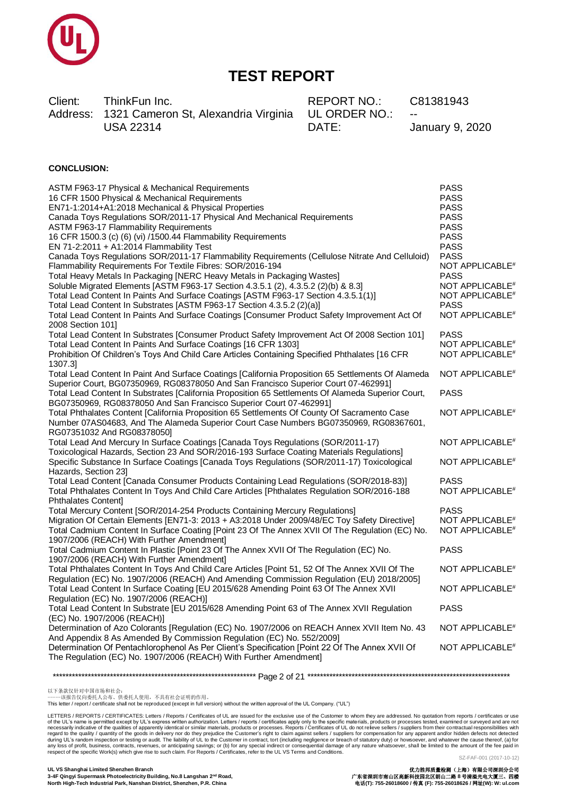

Client: ThinkFun Inc. Address: 1321 Cameron St, Alexandria Virginia **USA 22314** 

**REPORT NO.:** UL ORDER NO.: DATE:

C81381943

**January 9, 2020** 

#### **CONCLUSION:**

| ASTM F963-17 Physical & Mechanical Requirements                                                                                                                                          | <b>PASS</b>                 |
|------------------------------------------------------------------------------------------------------------------------------------------------------------------------------------------|-----------------------------|
| 16 CFR 1500 Physical & Mechanical Requirements                                                                                                                                           | <b>PASS</b>                 |
| EN71-1:2014+A1:2018 Mechanical & Physical Properties                                                                                                                                     | <b>PASS</b>                 |
| Canada Toys Regulations SOR/2011-17 Physical And Mechanical Requirements                                                                                                                 | <b>PASS</b>                 |
| <b>ASTM F963-17 Flammability Requirements</b>                                                                                                                                            | <b>PASS</b>                 |
| 16 CFR 1500.3 (c) (6) (vi) /1500.44 Flammability Requirements                                                                                                                            | <b>PASS</b>                 |
| EN 71-2:2011 + A1:2014 Flammability Test                                                                                                                                                 | <b>PASS</b>                 |
| Canada Toys Regulations SOR/2011-17 Flammability Requirements (Cellulose Nitrate And Celluloid)                                                                                          | <b>PASS</b>                 |
| Flammability Requirements For Textile Fibres: SOR/2016-194                                                                                                                               | NOT APPLICABLE <sup>#</sup> |
| Total Heavy Metals In Packaging [NERC Heavy Metals in Packaging Wastes]                                                                                                                  | <b>PASS</b>                 |
| Soluble Migrated Elements [ASTM F963-17 Section 4.3.5.1 (2), 4.3.5.2 (2)(b) & 8.3]                                                                                                       | NOT APPLICABLE <sup>#</sup> |
| Total Lead Content In Paints And Surface Coatings [ASTM F963-17 Section 4.3.5.1(1)]                                                                                                      | NOT APPLICABLE <sup>#</sup> |
| Total Lead Content In Substrates [ASTM F963-17 Section 4.3.5.2 (2)(a)]                                                                                                                   | <b>PASS</b>                 |
| Total Lead Content In Paints And Surface Coatings [Consumer Product Safety Improvement Act Of                                                                                            | NOT APPLICABLE <sup>#</sup> |
| 2008 Section 101]                                                                                                                                                                        |                             |
| Total Lead Content In Substrates [Consumer Product Safety Improvement Act Of 2008 Section 101]                                                                                           | <b>PASS</b>                 |
| Total Lead Content In Paints And Surface Coatings [16 CFR 1303]                                                                                                                          | NOT APPLICABLE <sup>#</sup> |
| Prohibition Of Children's Toys And Child Care Articles Containing Specified Phthalates [16 CFR                                                                                           | NOT APPLICABLE <sup>#</sup> |
| 1307.31                                                                                                                                                                                  |                             |
| Total Lead Content In Paint And Surface Coatings [California Proposition 65 Settlements Of Alameda                                                                                       | NOT APPLICABLE <sup>#</sup> |
| Superior Court, BG07350969, RG08378050 And San Francisco Superior Court 07-462991]                                                                                                       |                             |
| Total Lead Content In Substrates [California Proposition 65 Settlements Of Alameda Superior Court,                                                                                       | <b>PASS</b>                 |
| BG07350969, RG08378050 And San Francisco Superior Court 07-462991]                                                                                                                       |                             |
| Total Phthalates Content [California Proposition 65 Settlements Of County Of Sacramento Case                                                                                             | NOT APPLICABLE <sup>#</sup> |
| Number 07AS04683, And The Alameda Superior Court Case Numbers BG07350969, RG08367601,                                                                                                    |                             |
| RG07351032 And RG08378050]                                                                                                                                                               |                             |
| Total Lead And Mercury In Surface Coatings [Canada Toys Regulations (SOR/2011-17)                                                                                                        | NOT APPLICABLE <sup>#</sup> |
| Toxicological Hazards, Section 23 And SOR/2016-193 Surface Coating Materials Regulations]<br>Specific Substance In Surface Coatings [Canada Toys Regulations (SOR/2011-17) Toxicological | NOT APPLICABLE <sup>#</sup> |
| Hazards, Section 23]                                                                                                                                                                     |                             |
| Total Lead Content [Canada Consumer Products Containing Lead Regulations (SOR/2018-83)]                                                                                                  | <b>PASS</b>                 |
| Total Phthalates Content In Toys And Child Care Articles [Phthalates Regulation SOR/2016-188                                                                                             | NOT APPLICABLE <sup>#</sup> |
| Phthalates Content]                                                                                                                                                                      |                             |
| Total Mercury Content [SOR/2014-254 Products Containing Mercury Regulations]                                                                                                             | <b>PASS</b>                 |
| Migration Of Certain Elements [EN71-3: 2013 + A3:2018 Under 2009/48/EC Toy Safety Directive]                                                                                             | NOT APPLICABLE <sup>#</sup> |
| Total Cadmium Content In Surface Coating [Point 23 Of The Annex XVII Of The Regulation (EC) No.                                                                                          | NOT APPLICABLE <sup>#</sup> |
| 1907/2006 (REACH) With Further Amendment]                                                                                                                                                |                             |
| Total Cadmium Content In Plastic [Point 23 Of The Annex XVII Of The Regulation (EC) No.                                                                                                  | <b>PASS</b>                 |
| 1907/2006 (REACH) With Further Amendment]                                                                                                                                                |                             |
| Total Phthalates Content In Toys And Child Care Articles [Point 51, 52 Of The Annex XVII Of The                                                                                          | NOT APPLICABLE <sup>#</sup> |
| Regulation (EC) No. 1907/2006 (REACH) And Amending Commission Regulation (EU) 2018/2005]                                                                                                 |                             |
| Total Lead Content In Surface Coating [EU 2015/628 Amending Point 63 Of The Annex XVII                                                                                                   | NOT APPLICABLE <sup>#</sup> |
| Regulation (EC) No. 1907/2006 (REACH)]                                                                                                                                                   |                             |
| Total Lead Content In Substrate [EU 2015/628 Amending Point 63 of The Annex XVII Regulation                                                                                              | <b>PASS</b>                 |
| (EC) No. 1907/2006 (REACH)]                                                                                                                                                              |                             |
| Determination of Azo Colorants [Regulation (EC) No. 1907/2006 on REACH Annex XVII Item No. 43                                                                                            | NOT APPLICABLE <sup>#</sup> |
| And Appendix 8 As Amended By Commission Regulation (EC) No. 552/2009]                                                                                                                    |                             |
| Determination Of Pentachlorophenol As Per Client's Specification [Point 22 Of The Annex XVII Of                                                                                          | NOT APPLICABLE <sup>#</sup> |
| The Regulation (EC) No. 1907/2006 (REACH) With Further Amendment]                                                                                                                        |                             |
|                                                                                                                                                                                          |                             |

This letter / report / certificate shall not be reproduced (except in full version) without the written approval of the UL Company. ("UL")

LETTERS / REPORTS / CERTIFICATES: Letters / Reports / Certificates of UL are issued for the exclusive use of the Customer to whom they are addressed. No quotation from reports / certificates or use Letters / republicative of the qualities of apparently identical about the synchange of the Sixters / reducts or processes. Reports in the increase the section and conditions of the ULVs Tems and Conditions. Letters / rep SZ-FAF-001 (2017-10-12)

UL VS Shanghai Limited Shenzhen Branch 3-4F Qingyi Supermask Photoelectricity Building, No.8 Langshan 2<sup>nd</sup> Road, North High-Tech Industrial Park, Nanshan District, Shenzhen, P.R. China

以下条款仅针对中国市场和社会:<br>-----该报告仅向委托人公布、供委托人使用,不具有社会证明的作用。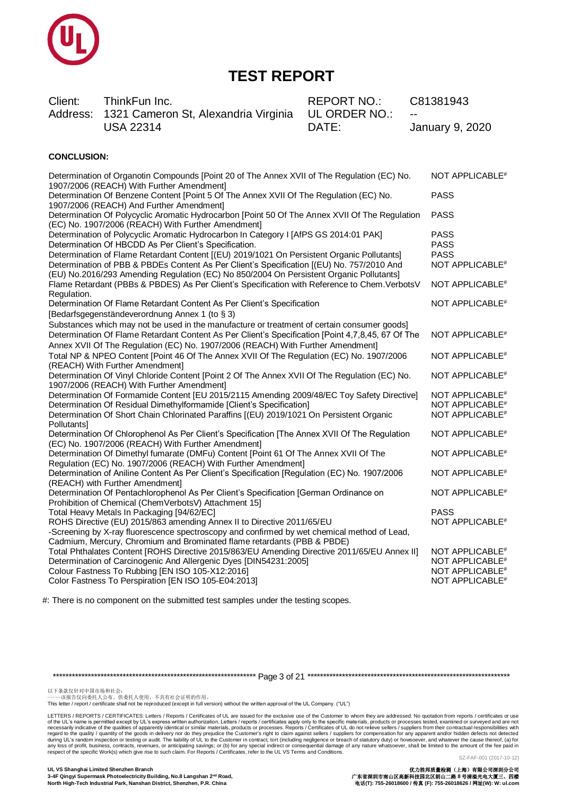

Client: ThinkFun Inc. Address: 1321 Cameron St, Alexandria Virginia **USA 22314** 

**REPORT NO.:** UL ORDER NO.: DATE:

C81381943

January 9, 2020

### **CONCLUSION:**

| Determination of Organotin Compounds [Point 20 of The Annex XVII of The Regulation (EC) No.<br>1907/2006 (REACH) With Further Amendment]                                                                                                                                                       | NOT APPLICABLE <sup>#</sup>                                                                                              |
|------------------------------------------------------------------------------------------------------------------------------------------------------------------------------------------------------------------------------------------------------------------------------------------------|--------------------------------------------------------------------------------------------------------------------------|
| Determination Of Benzene Content [Point 5 Of The Annex XVII Of The Regulation (EC) No.<br>1907/2006 (REACH) And Further Amendment]                                                                                                                                                             | <b>PASS</b>                                                                                                              |
| Determination Of Polycyclic Aromatic Hydrocarbon [Point 50 Of The Annex XVII Of The Regulation<br>(EC) No. 1907/2006 (REACH) With Further Amendment]                                                                                                                                           | <b>PASS</b>                                                                                                              |
| Determination of Polycyclic Aromatic Hydrocarbon In Category I [AfPS GS 2014:01 PAK]<br>Determination Of HBCDD As Per Client's Specification.                                                                                                                                                  | <b>PASS</b><br><b>PASS</b>                                                                                               |
| Determination of Flame Retardant Content [(EU) 2019/1021 On Persistent Organic Pollutants]<br>Determination of PBB & PBDEs Content As Per Client's Specification [(EU) No. 757/2010 And<br>(EU) No.2016/293 Amending Regulation (EC) No 850/2004 On Persistent Organic Pollutants]             | <b>PASS</b><br>NOT APPLICABLE <sup>#</sup>                                                                               |
| Flame Retardant (PBBs & PBDES) As Per Client's Specification with Reference to Chem. VerbotsV<br>Regulation.                                                                                                                                                                                   | NOT APPLICABLE <sup>#</sup>                                                                                              |
| Determination Of Flame Retardant Content As Per Client's Specification<br>[Bedarfsgegenständeverordnung Annex 1 (to § 3)                                                                                                                                                                       | NOT APPLICABLE <sup>#</sup>                                                                                              |
| Substances which may not be used in the manufacture or treatment of certain consumer goods]<br>Determination Of Flame Retardant Content As Per Client's Specification [Point 4,7,8,45, 67 Of The<br>Annex XVII Of The Regulation (EC) No. 1907/2006 (REACH) With Further Amendment]            | NOT APPLICABLE <sup>#</sup>                                                                                              |
| Total NP & NPEO Content [Point 46 Of The Annex XVII Of The Regulation (EC) No. 1907/2006<br>(REACH) With Further Amendment]                                                                                                                                                                    | NOT APPLICABLE <sup>#</sup>                                                                                              |
| Determination Of Vinyl Chloride Content [Point 2 Of The Annex XVII Of The Regulation (EC) No.<br>1907/2006 (REACH) With Further Amendment]                                                                                                                                                     | NOT APPLICABLE <sup>#</sup>                                                                                              |
| Determination Of Formamide Content [EU 2015/2115 Amending 2009/48/EC Toy Safety Directive]<br>Determination Of Residual Dimethylformamide [Client's Specification]<br>Determination Of Short Chain Chlorinated Paraffins [(EU) 2019/1021 On Persistent Organic<br><b>Pollutantsl</b>           | NOT APPLICABLE <sup>#</sup><br>NOT APPLICABLE <sup>#</sup><br>NOT APPLICABLE <sup>#</sup>                                |
| Determination Of Chlorophenol As Per Client's Specification [The Annex XVII Of The Regulation<br>(EC) No. 1907/2006 (REACH) With Further Amendment]                                                                                                                                            | NOT APPLICABLE <sup>#</sup>                                                                                              |
| Determination Of Dimethyl fumarate (DMFu) Content [Point 61 Of The Annex XVII Of The<br>Regulation (EC) No. 1907/2006 (REACH) With Further Amendment]                                                                                                                                          | NOT APPLICABLE <sup>#</sup>                                                                                              |
| Determination of Aniline Content As Per Client's Specification [Regulation (EC) No. 1907/2006<br>(REACH) with Further Amendment]                                                                                                                                                               | NOT APPLICABLE <sup>#</sup>                                                                                              |
| Determination Of Pentachlorophenol As Per Client's Specification [German Ordinance on<br>Prohibition of Chemical (ChemVerbotsV) Attachment 15]                                                                                                                                                 | NOT APPLICABLE <sup>#</sup>                                                                                              |
| Total Heavy Metals In Packaging [94/62/EC]<br>ROHS Directive (EU) 2015/863 amending Annex II to Directive 2011/65/EU<br>-Screening by X-ray fluorescence spectroscopy and confirmed by wet chemical method of Lead,<br>Cadmium, Mercury, Chromium and Brominated flame retardants (PBB & PBDE) | <b>PASS</b><br>NOT APPLICABLE <sup>#</sup>                                                                               |
| Total Phthalates Content [ROHS Directive 2015/863/EU Amending Directive 2011/65/EU Annex II]<br>Determination of Carcinogenic And Allergenic Dyes [DIN54231:2005]<br>Colour Fastness To Rubbing [EN ISO 105-X12:2016]<br>Color Fastness To Perspiration [EN ISO 105-E04:2013]                  | NOT APPLICABLE <sup>#</sup><br>NOT APPLICABLE <sup>#</sup><br>NOT APPLICABLE <sup>#</sup><br>NOT APPLICABLE <sup>#</sup> |

#: There is no component on the submitted test samples under the testing scopes.

以下条款仅针对中国市场和社会:<br>-----该报告仅向委托人公布、供委托人使用,不具有社会证明的作用。

This letter / report / certificate shall not be reproduced (except in full version) without the written approval of the UL Company. ("UL")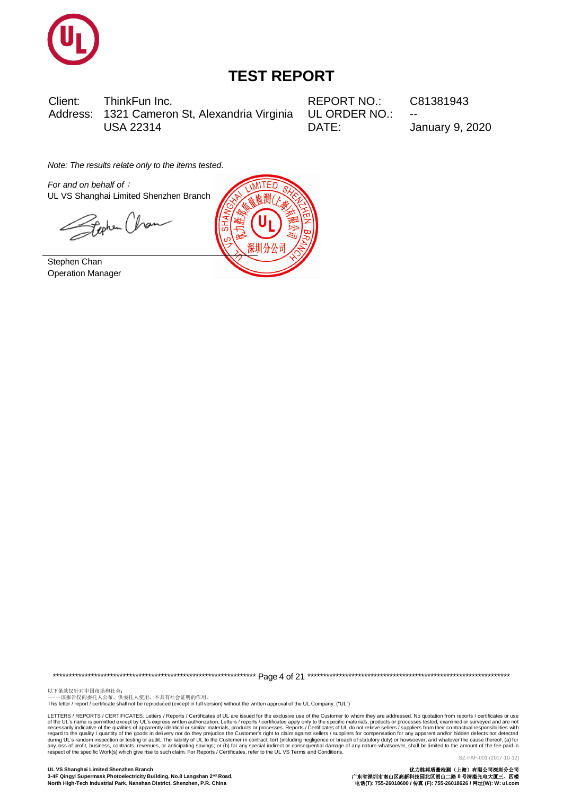

Client: ThinkFun Inc. 1321 Cameron St, Alexandria Virginia Address: **USA 22314** 

**REPORT NO.:** UL ORDER NO.: DATE:

C81381943

**January 9, 2020** 

Note: The results relate only to the items tested.

For and on behalf of : UL VS Shanghai Limited Shenzhen Branch

Feehen Chan

Stephen Chan **Operation Manager** 



以下条款仅针对中国市场和社会:<br>-----该报告仅向委托人公布、供委托人使用,不具有社会证明的作用。

This letter / report / certificate shall not be reproduced (except in full version) without the written approval of the UL Company. ("UL")

LETTERS / REPORTS / CERTIFICATES: Letters / Reports / Certificates of UL are issued for the exclusive use of the Customer to whom they are addressed. No quotation from reports / certificates or use Letters / republicative of the qualities of apparently identical about the synchange of the Sixters / reducts or processes. Reports in the increase the section and conditions of the ULVs Tems and Conditions. Letters / rep SZ-FAF-001 (2017-10-12)

UL VS Shanghai Limited Shenzhen Branch 3-4F Qingyi Supermask Photoelectricity Building, No.8 Langshan 2<sup>nd</sup> Road, North High-Tech Industrial Park, Nanshan District, Shenzhen, P.R. China

优力胜邦质量检测(上海)有限公司探测分公司<br>广东省深圳市南山区高新科技园北区朗山二路 8 号清溢光电大厦三、四楼<br>电话(T): 755-26018600 / 传真 (F): 755-26018626 / 网址(W): W: ul.com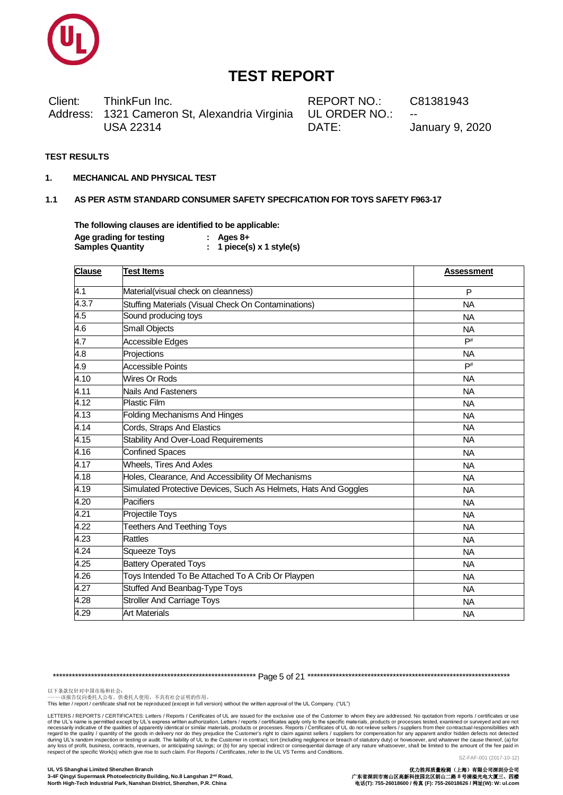

Client: ThinkFun Inc. Address: 1321 Cameron St, Alexandria Virginia **USA 22314** 

**REPORT NO.:** UL ORDER NO.: DATE:

C81381943

**January 9, 2020** 

#### **TEST RESULTS**

 $1.$ **MECHANICAL AND PHYSICAL TEST** 

#### $1.1$ AS PER ASTM STANDARD CONSUMER SAFETY SPECFICATION FOR TOYS SAFETY F963-17

The following clauses are identified to be applicable:  $\sim$  $\overline{\mathbf{A}}$ 

| Age grading for testing | : Ages 8+                 |
|-------------------------|---------------------------|
| <b>Samples Quantity</b> | 1 piece(s) $x$ 1 style(s) |

| <b>Clause</b>    | <b>Test Items</b>                                               | <b>Assessment</b> |  |
|------------------|-----------------------------------------------------------------|-------------------|--|
| $\overline{4.1}$ | Material(visual check on cleanness)                             | P                 |  |
| 4.3.7            | Stuffing Materials (Visual Check On Contaminations)             | <b>NA</b>         |  |
| 4.5              | Sound producing toys                                            | <b>NA</b>         |  |
| 4.6              | <b>Small Objects</b>                                            | <b>NA</b>         |  |
| 4.7              | Accessible Edges                                                | $\mathsf{P}^\#$   |  |
| 4.8              | Projections                                                     | <b>NA</b>         |  |
| 4.9              | <b>Accessible Points</b>                                        | $\mathsf{P}^\#$   |  |
| 4.10             | Wires Or Rods                                                   | <b>NA</b>         |  |
| 4.11             | <b>Nails And Fasteners</b>                                      | <b>NA</b>         |  |
| 4.12             | <b>Plastic Film</b>                                             | <b>NA</b>         |  |
| 4.13             | <b>Folding Mechanisms And Hinges</b>                            | <b>NA</b>         |  |
| 4.14             | Cords, Straps And Elastics                                      | <b>NA</b>         |  |
| 4.15             | Stability And Over-Load Requirements                            | <b>NA</b>         |  |
| 4.16             | <b>Confined Spaces</b>                                          | <b>NA</b>         |  |
| 4.17             | <b>Wheels, Tires And Axles</b>                                  | <b>NA</b>         |  |
| 4.18             | Holes, Clearance, And Accessibility Of Mechanisms               | <b>NA</b>         |  |
| 4.19             | Simulated Protective Devices, Such As Helmets, Hats And Goggles | <b>NA</b>         |  |
| 4.20             | Pacifiers                                                       | NA.               |  |
| 4.21             | Projectile Toys                                                 | <b>NA</b>         |  |
| 4.22             | <b>Teethers And Teething Toys</b>                               | <b>NA</b>         |  |
| 4.23             | <b>Rattles</b>                                                  | <b>NA</b>         |  |
| 4.24             | <b>Squeeze Toys</b>                                             | <b>NA</b>         |  |
| 4.25             | <b>Battery Operated Toys</b>                                    | <b>NA</b>         |  |
| 4.26             | Toys Intended To Be Attached To A Crib Or Playpen               | <b>NA</b>         |  |
| 4.27             | <b>Stuffed And Beanbag-Type Toys</b>                            | <b>NA</b>         |  |
| 4.28             | <b>Stroller And Carriage Toys</b>                               | <b>NA</b>         |  |
| 4.29             | <b>Art Materials</b>                                            | <b>NA</b>         |  |

以下条款仅针对中国市场和社会:<br>-----该报告仅向委托人公布、供委托人使用,不具有社会证明的作用。

This letter / report / certificate shall not be reproduced (except in full version) without the written approval of the UL Company. ("UL")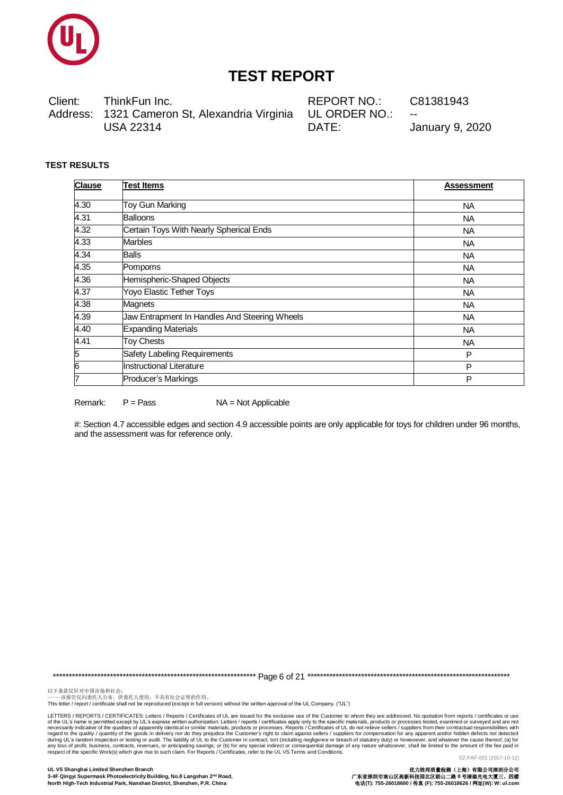

Client: ThinkFun Inc. Address: 1321 Cameron St, Alexandria Virginia **USA 22314** 

**REPORT NO.:** UL ORDER NO.: DATE:

C81381943

**January 9, 2020** 

### **TEST RESULTS**

Remark:

 $P = Pass$ 

| <b>Clause</b> | <b>Test Items</b>                             | <b>Assessment</b> |
|---------------|-----------------------------------------------|-------------------|
| 4.30          | Toy Gun Marking                               | <b>NA</b>         |
| 4.31          | <b>Balloons</b>                               | <b>NA</b>         |
| 4.32          | Certain Toys With Nearly Spherical Ends       | <b>NA</b>         |
| 4.33          | <b>Marbles</b>                                | <b>NA</b>         |
| 4.34          | <b>Balls</b>                                  | <b>NA</b>         |
| 4.35          | Pompoms                                       | <b>NA</b>         |
| 4.36          | Hemispheric-Shaped Objects                    | <b>NA</b>         |
| 4.37          | <b>Yoyo Elastic Tether Toys</b>               | <b>NA</b>         |
| 4.38          | Magnets                                       | <b>NA</b>         |
| 4.39          | Jaw Entrapment In Handles And Steering Wheels | <b>NA</b>         |
| 4.40          | <b>Expanding Materials</b>                    | <b>NA</b>         |
| 4.41          | <b>Toy Chests</b>                             | <b>NA</b>         |
| 5             | Safety Labeling Requirements                  | P                 |
| 6             | <b>Instructional Literature</b>               | P                 |
| 7             | Producer's Markings                           | P                 |

#: Section 4.7 accessible edges and section 4.9 accessible points are only applicable for toys for children under 96 months, and the assessment was for reference only.

 $NA = Not Applicable$ 

以下条款仅针对中国市场和社会:<br>-----该报告仅向委托人公布、供委托人使用,不具有社会证明的作用。

This letter / report / certificate shall not be reproduced (except in full version) without the written approval of the UL Company. ("UL")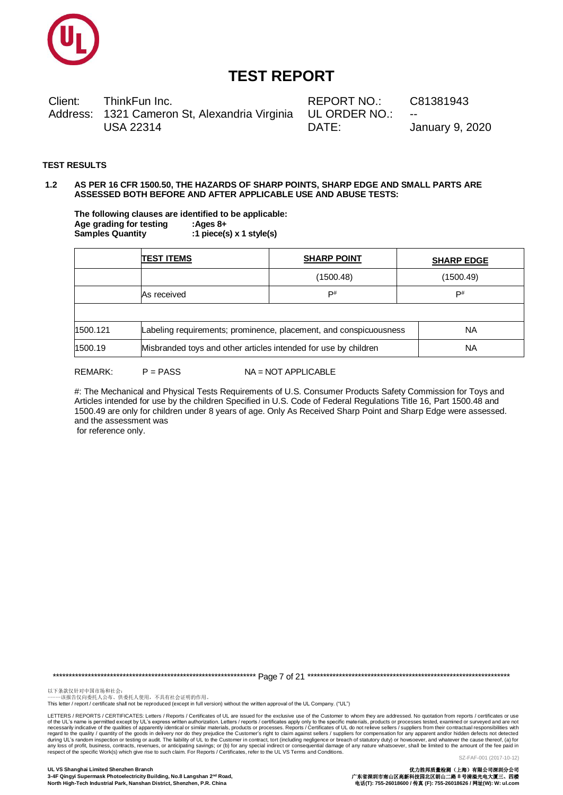

Client: ThinkFun Inc. Address: 1321 Cameron St, Alexandria Virginia **USA 22314** 

REPORT NO.: UL ORDER NO.: DATE:

C81381943

**January 9, 2020** 

#### **TEST RESULTS**

#### AS PER 16 CFR 1500.50, THE HAZARDS OF SHARP POINTS, SHARP EDGE AND SMALL PARTS ARE  $12$ ASSESSED BOTH BEFORE AND AFTER APPLICABLE USE AND ABUSE TESTS:

The following clauses are identified to be applicable: Age grading for testing :Ages 8+ Samples Quantity :1  $piece(s) \times 1$  style(s)

|                                                                               | <b>TEST ITEMS</b> | <b>SHARP POINT</b> | <b>SHARP EDGE</b> |  |
|-------------------------------------------------------------------------------|-------------------|--------------------|-------------------|--|
|                                                                               |                   | (1500.48)          | (1500.49)         |  |
|                                                                               | As received       | $\mathsf{P}^\#$    | P#                |  |
|                                                                               |                   |                    |                   |  |
| 1500.121<br>Labeling requirements; prominence, placement, and conspicuousness |                   |                    | <b>NA</b>         |  |
| Misbranded toys and other articles intended for use by children<br>1500.19    |                   |                    | <b>NA</b>         |  |

#### **REMARK:**  $P = PASS$

NA = NOT APPLICABLE

#: The Mechanical and Physical Tests Requirements of U.S. Consumer Products Safety Commission for Toys and Articles intended for use by the children Specified in U.S. Code of Federal Regulations Title 16, Part 1500.48 and 1500.49 are only for children under 8 years of age. Only As Received Sharp Point and Sharp Edge were assessed. and the assessment was

for reference only.

以下条款仅针对中国市场和社会:<br>-----该报告仅向委托人公布、供委托人使用,不具有社会证明的作用。

This letter / report / certificate shall not be reproduced (except in full version) without the written approval of the UL Company. ("UL")

LETTERS / REPORTS / CERTIFICATES: Letters / Reports / Certificates of UL are issued for the exclusive use of the Customer to whom they are addressed. No quotation from reports / certificates or use Letters / reputs to the specific must be the solution. Letters / reputs is the solution of the specific materials, products or processes tested, examined or surveyed and are not contractual responsibilities of apparently SZ-FAF-001 (2017-10-12)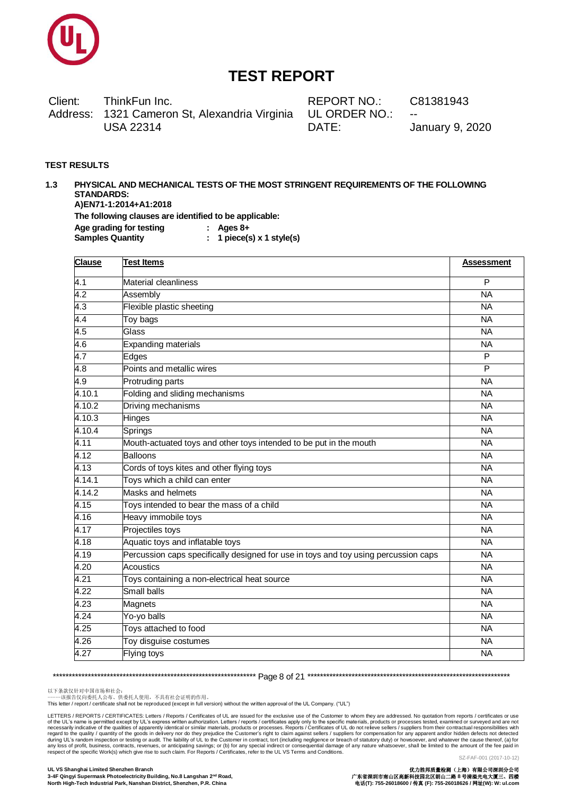

Client: ThinkFun Inc. Address: 1321 Cameron St, Alexandria Virginia **USA 22314** 

REPORT NO.: UL ORDER NO.: DATE:

C81381943

**January 9, 2020** 

#### **TEST RESULTS**

#### PHYSICAL AND MECHANICAL TESTS OF THE MOST STRINGENT REQUIREMENTS OF THE FOLLOWING  $1.3$ **STANDARDS:** A)EN71-1:2014+A1:2018 The following clauses are identified to be applicable:  $:$  Ages  $8+$

Age grading for testing **Samples Quantity** 

 $: 1$  piece(s) x 1 style(s)

| <b>Clause</b>    | <b>Test Items</b>                                                                   | <b>Assessment</b>       |
|------------------|-------------------------------------------------------------------------------------|-------------------------|
| $\overline{4.1}$ | Material cleanliness                                                                | P                       |
| 4.2              | Assembly                                                                            | <b>NA</b>               |
| 4.3              | Flexible plastic sheeting                                                           | <b>NA</b>               |
| 4.4              | Toy bags                                                                            | <b>NA</b>               |
| 4.5              | Glass                                                                               | <b>NA</b>               |
| 4.6              | <b>Expanding materials</b>                                                          | <b>NA</b>               |
| 4.7              | Edges                                                                               | $\overline{\mathsf{P}}$ |
| 4.8              | Points and metallic wires                                                           | P                       |
| 4.9              | Protruding parts                                                                    | <b>NA</b>               |
| 4.10.1           | Folding and sliding mechanisms                                                      | <b>NA</b>               |
| 4.10.2           | Driving mechanisms                                                                  | <b>NA</b>               |
| 4.10.3           | Hinges                                                                              | <b>NA</b>               |
| 4.10.4           | Springs                                                                             | <b>NA</b>               |
| 4.11             | Mouth-actuated toys and other toys intended to be put in the mouth                  | <b>NA</b>               |
| 4.12             | <b>Balloons</b>                                                                     | <b>NA</b>               |
| 4.13             | Cords of toys kites and other flying toys                                           | <b>NA</b>               |
| 4.14.1           | Toys which a child can enter                                                        | <b>NA</b>               |
| 4.14.2           | Masks and helmets                                                                   | <b>NA</b>               |
| 4.15             | Toys intended to bear the mass of a child                                           | <b>NA</b>               |
| 4.16             | Heavy immobile toys                                                                 | <b>NA</b>               |
| 4.17             | Projectiles toys                                                                    | <b>NA</b>               |
| 4.18             | Aquatic toys and inflatable toys                                                    | <b>NA</b>               |
| 4.19             | Percussion caps specifically designed for use in toys and toy using percussion caps | <b>NA</b>               |
| 4.20             | <b>Acoustics</b>                                                                    | $\overline{NA}$         |
| 4.21             | Toys containing a non-electrical heat source                                        | <b>NA</b>               |
| 4.22             | Small balls                                                                         | <b>NA</b>               |
| 4.23             | Magnets                                                                             | <b>NA</b>               |
| 4.24             | Yo-yo balls                                                                         | <b>NA</b>               |
| 4.25             | Toys attached to food                                                               | <b>NA</b>               |
| 4.26             | Toy disguise costumes                                                               | <b>NA</b>               |
| 4.27             | Flying toys                                                                         | $\overline{NA}$         |

以下条款仅针对中国市场和社会:<br>-----该报告仅向委托人公布、供委托人使用,不具有社会证明的作用。

This letter / report / certificate shall not be reproduced (except in full version) without the written approval of the UL Company. ("UL")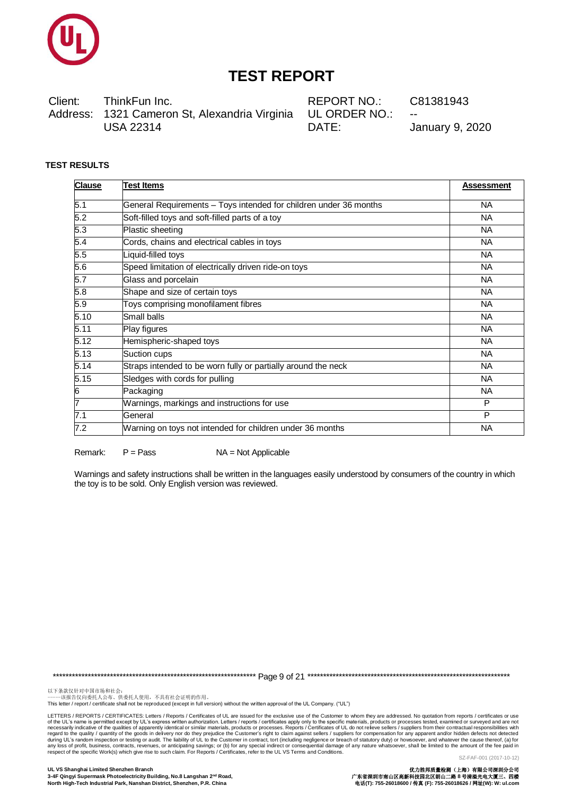

Client: ThinkFun Inc. Address: 1321 Cameron St, Alexandria Virginia **USA 22314** 

REPORT NO: UL ORDER NO.: DATE:

C81381943

**January 9, 2020** 

### **TEST RESULTS**

| <b>Clause</b> | <b>Test Items</b>                                                 | <b>Assessment</b> |
|---------------|-------------------------------------------------------------------|-------------------|
| 5.1           | General Requirements - Toys intended for children under 36 months | <b>NA</b>         |
| 5.2           | Soft-filled toys and soft-filled parts of a toy                   | <b>NA</b>         |
| 5.3           | Plastic sheeting                                                  | <b>NA</b>         |
| 5.4           | Cords, chains and electrical cables in toys                       | <b>NA</b>         |
| 5.5           | Liquid-filled toys                                                | <b>NA</b>         |
| 5.6           | Speed limitation of electrically driven ride-on toys              | <b>NA</b>         |
| 5.7           | Glass and porcelain                                               | <b>NA</b>         |
| 5.8           | Shape and size of certain toys                                    | <b>NA</b>         |
| 5.9           | Toys comprising monofilament fibres                               | <b>NA</b>         |
| 5.10          | Small balls                                                       | <b>NA</b>         |
| 5.11          | Play figures                                                      | <b>NA</b>         |
| 5.12          | Hemispheric-shaped toys                                           | <b>NA</b>         |
| 5.13          | Suction cups                                                      | <b>NA</b>         |
| 5.14          | Straps intended to be worn fully or partially around the neck     | <b>NA</b>         |
| 5.15          | Sledges with cords for pulling                                    | <b>NA</b>         |
| 6             | Packaging                                                         | <b>NA</b>         |
| 7             | Warnings, markings and instructions for use                       | P                 |
| 7.1           | General                                                           | P                 |
| 7.2           | Warning on toys not intended for children under 36 months         | <b>NA</b>         |

Remark<sup>-</sup>  $P = Pass$   $NA = Not Applicable$ 

Warnings and safety instructions shall be written in the languages easily understood by consumers of the country in which the toy is to be sold. Only English version was reviewed.

以下条款仅针对中国市场和社会:<br>-----该报告仅向委托人公布、供委托人使用,不具有社会证明的作用。

This letter / report / certificate shall not be reproduced (except in full version) without the written approval of the UL Company. ("UL")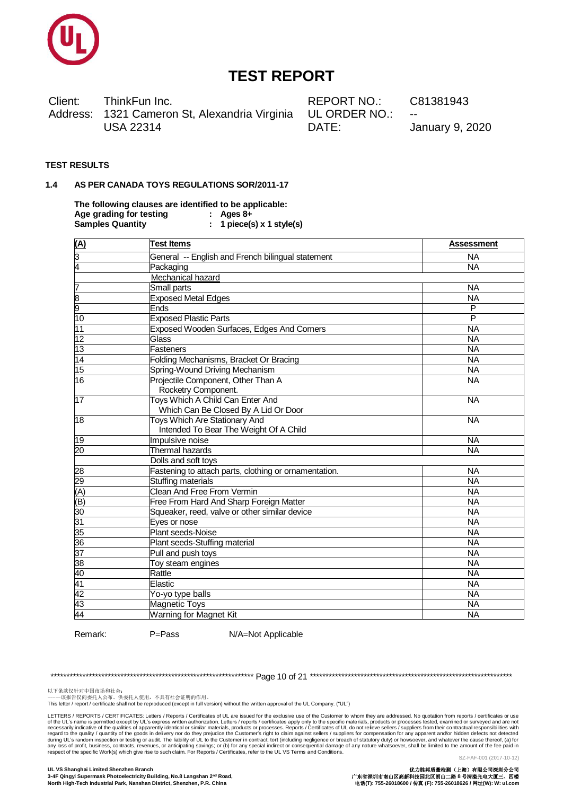

Client: ThinkFun Inc. Address: 1321 Cameron St, Alexandria Virginia **USA 22314** 

REPORT NO.: UL ORDER NO.: DATE:

C81381943

**January 9, 2020** 

### **TEST RESULTS**

#### AS PER CANADA TOYS REGULATIONS SOR/2011-17  $1\,4$

The following clauses are identified to be applicable: Age grading for testing  $\therefore$  Ages 8+ **Samples Quantity** :  $1$  piece(s) x  $1$  style(s)

| <u>(A)</u>      | <b>Test Items</b>                                                        | <b>Assessment</b> |
|-----------------|--------------------------------------------------------------------------|-------------------|
| $\frac{3}{4}$   | General -- English and French bilingual statement                        | <b>NA</b>         |
|                 | Packaging                                                                | <b>NA</b>         |
|                 | Mechanical hazard                                                        |                   |
|                 | Small parts                                                              | <b>NA</b>         |
| $\frac{7}{9}$   | <b>Exposed Metal Edges</b>                                               | <b>NA</b>         |
|                 | Ends                                                                     | P                 |
| $\overline{10}$ | <b>Exposed Plastic Parts</b>                                             | $\overline{P}$    |
| $\overline{11}$ | Exposed Wooden Surfaces, Edges And Corners                               | <b>NA</b>         |
| $\overline{12}$ | Glass                                                                    | <b>NA</b>         |
| 13              | Fasteners                                                                | <b>NA</b>         |
| $\frac{14}{15}$ | Folding Mechanisms, Bracket Or Bracing                                   | <b>NA</b>         |
|                 | Spring-Wound Driving Mechanism                                           | <b>NA</b>         |
| $\overline{16}$ | Projectile Component, Other Than A<br>Rocketry Component.                | <b>NA</b>         |
| $\overline{17}$ | Toys Which A Child Can Enter And<br>Which Can Be Closed By A Lid Or Door | <b>NA</b>         |
| $\overline{18}$ | Toys Which Are Stationary And<br>Intended To Bear The Weight Of A Child  | <b>NA</b>         |
| 19              | Impulsive noise                                                          | <b>NA</b>         |
| 20              | Thermal hazards                                                          | <b>NA</b>         |
|                 | Dolls and soft toys                                                      |                   |
| $\overline{28}$ | Fastening to attach parts, clothing or ornamentation.                    | <b>NA</b>         |
| 29              | Stuffing materials                                                       | <b>NA</b>         |
| $\overline{A}$  | <b>Clean And Free From Vermin</b>                                        | <b>NA</b>         |
| (B)             | Free From Hard And Sharp Foreign Matter                                  | <b>NA</b>         |
| $\overline{30}$ | Squeaker, reed, valve or other similar device                            | <b>NA</b>         |
| 31              | Eyes or nose                                                             | <b>NA</b>         |
| 35              | Plant seeds-Noise                                                        | <b>NA</b>         |
| 36              | Plant seeds-Stuffing material                                            | <b>NA</b>         |
| $\overline{37}$ | Pull and push toys                                                       | <b>NA</b>         |
| $\overline{38}$ | Toy steam engines                                                        | <b>NA</b>         |
| 40              | Rattle                                                                   | <b>NA</b>         |
| 41              | Elastic                                                                  | <b>NA</b>         |
| 42              | Yo-yo type balls                                                         | <b>NA</b>         |
| 43              | Magnetic Toys                                                            | <b>NA</b>         |
| 44              | <b>Warning for Magnet Kit</b>                                            | <b>NA</b>         |

Remark:

 $P = Pass$ 

N/A=Not Applicable

以下条款仅针对中国市场和社会:<br>-----该报告仅向委托人公布、供委托人使用,不具有社会证明的作用。

This letter / report / certificate shall not be reproduced (except in full version) without the written approval of the UL Company. ("UL")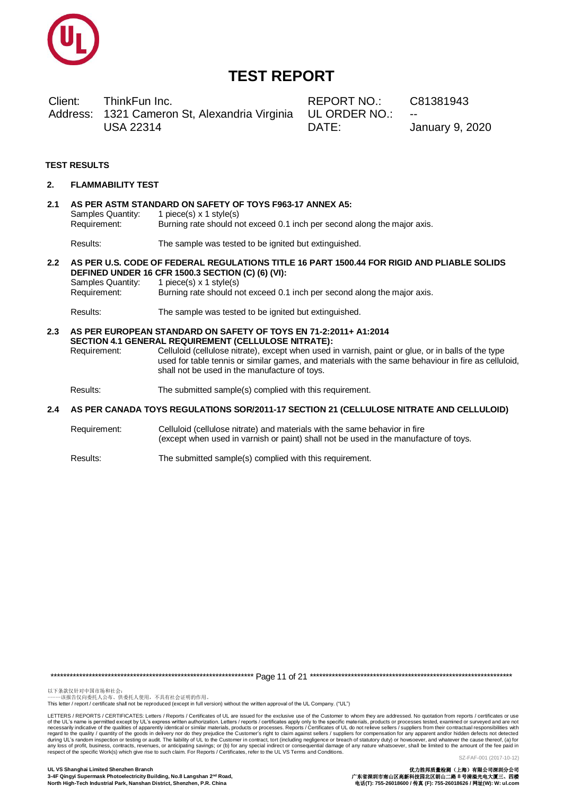

Client: ThinkFun Inc. Address: 1321 Cameron St, Alexandria Virginia **USA 22314** 

REPORT NO.: UL ORDER NO.: DATE:

C81381943

**January 9, 2020** 

#### **TEST RESULTS**

- **FLAMMABILITY TEST**  $\mathbf{r}$
- AS PER ASTM STANDARD ON SAFETY OF TOYS F963-17 ANNEX A5:  $21$ Samples Quantity: 1 piece(s)  $x$  1 style(s) Requirement: Burning rate should not exceed 0.1 inch per second along the major axis.

Results: The sample was tested to be ignited but extinguished.

2.2 AS PER U.S. CODE OF FEDERAL REGULATIONS TITLE 16 PART 1500.44 FOR RIGID AND PLIABLE SOLIDS DEFINED UNDER 16 CFR 1500.3 SECTION (C) (6) (VI):

Samples Quantity: 1 piece(s)  $x$  1 style(s) Requirement: Burning rate should not exceed 0.1 inch per second along the major axis.

The sample was tested to be ignited but extinguished. Results:

2.3 AS PER EUROPEAN STANDARD ON SAFETY OF TOYS EN 71-2:2011+ A1:2014 SECTION 4.1 GENERAL REQUIREMENT (CELLULOSE NITRATE): Requirement: Celluloid (cellulose nitrate), except when used in varnish, paint or glue, or in balls of the type used for table tennis or similar games, and materials with the same behaviour in fire as celluloid, shall not be used in the manufacture of toys.

Results: The submitted sample(s) complied with this requirement.

#### AS PER CANADA TOYS REGULATIONS SOR/2011-17 SECTION 21 (CELLULOSE NITRATE AND CELLULOID)  $24$

Requirement: Celluloid (cellulose nitrate) and materials with the same behavior in fire (except when used in varnish or paint) shall not be used in the manufacture of toys.

Results: The submitted sample(s) complied with this requirement.

以下条款仅针对中国市场和社会:<br>-----该报告仅向委托人公布、供委托人使用,不具有社会证明的作用。

This letter / report / certificate shall not be reproduced (except in full version) without the written approval of the UL Company. ("UL")

LETTERS / REPORTS / CERTIFICATES: Letters / Reports / Certificates of UL are issued for the exclusive use of the Customer to whom they are addressed. No quotation from reports / certificates or use Letters / reputs to the specific must be the solution. Letters / reputs is the solution of the specific materials, products or processes tested, examined or surveyed and are not contractual responsibilities of apparently SZ-FAF-001 (2017-10-12)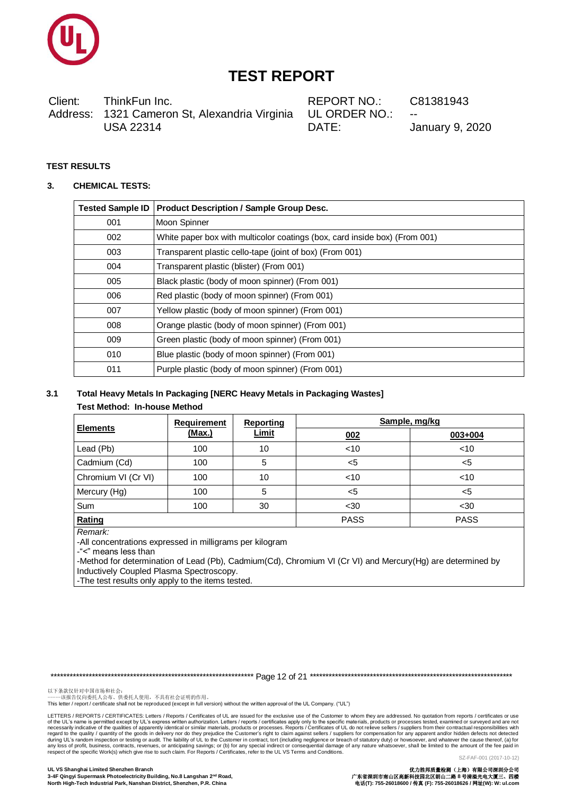

Client: ThinkFun Inc. 1321 Cameron St, Alexandria Virginia Address: **USA 22314** 

REPORT NO: UL ORDER NO.: DATE:

C81381943

**January 9, 2020** 

### **TEST RESULTS**

#### **CHEMICAL TESTS:** 3.

| <b>Tested Sample ID</b> | <b>Product Description / Sample Group Desc.</b>                            |
|-------------------------|----------------------------------------------------------------------------|
| 001                     | Moon Spinner                                                               |
| 002                     | White paper box with multicolor coatings (box, card inside box) (From 001) |
| 003                     | Transparent plastic cello-tape (joint of box) (From 001)                   |
| 004                     | Transparent plastic (blister) (From 001)                                   |
| 005                     | Black plastic (body of moon spinner) (From 001)                            |
| 006                     | Red plastic (body of moon spinner) (From 001)                              |
| 007                     | Yellow plastic (body of moon spinner) (From 001)                           |
| 008                     | Orange plastic (body of moon spinner) (From 001)                           |
| 009                     | Green plastic (body of moon spinner) (From 001)                            |
| 010                     | Blue plastic (body of moon spinner) (From 001)                             |
| 011                     | Purple plastic (body of moon spinner) (From 001)                           |

#### Total Heavy Metals In Packaging [NERC Heavy Metals in Packaging Wastes]  $3.1$ **Test Method: In-house Method**

|                     | Requirement<br><b>Reporting</b> |       | Sample, mg/kg |             |
|---------------------|---------------------------------|-------|---------------|-------------|
| <b>Elements</b>     | (Max.)                          | Limit | 002           | 003+004     |
| Lead (Pb)           | 100                             | 10    | $<$ 10        | $<$ 10      |
| Cadmium (Cd)        | 100                             | 5     | $<$ 5         | <5          |
| Chromium VI (Cr VI) | 100                             | 10    | $<$ 10        | $<$ 10      |
| Mercury (Hg)        | 100                             | 5     | $<$ 5         | <5          |
| <b>Sum</b>          | 100                             | 30    | $30$          | $30$        |
| Rating              |                                 |       | <b>PASS</b>   | <b>PASS</b> |

Remark:

-All concentrations expressed in milligrams per kilogram

-"<" means less than

-Method for determination of Lead (Pb), Cadmium(Cd), Chromium VI (Cr VI) and Mercury(Hg) are determined by Inductively Coupled Plasma Spectroscopy.

-The test results only apply to the items tested.

以下条款仅针对中国市场和社会:<br>-----该报告仅向委托人公布、供委托人使用,不具有社会证明的作用。

This letter / report / certificate shall not be reproduced (except in full version) without the written approval of the UL Company. ("UL")

LETTERS / REPORTS / CERTIFICATES: Letters / Reports / Certificates of UL are issued for the exclusive use of the Customer to whom they are addressed. No quotation from reports / certificates or use Letters / reputs to the specific must be the solution. Letters / reputs is the solution of the specific materials, products or processes tested, examined or surveyed and are not contractual responsibilities of apparently SZ-FAF-001 (2017-10-12)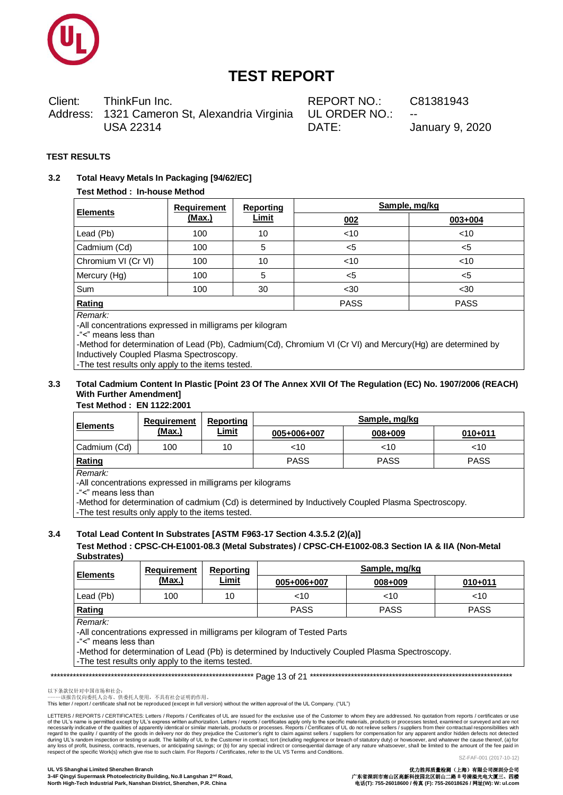

Client: ThinkFun Inc. Address: 1321 Cameron St, Alexandria Virginia **USA 22314** 

REPORT NO: UL ORDER NO.: DATE:

C81381943

**January 9, 2020** 

### **TEST RESULTS**

#### $3.2$ Total Heavy Metals In Packaging [94/62/EC]

### **Test Method: In-house Method**

| <b>Elements</b>     | <b>Reporting</b><br><b>Requirement</b> |              | Sample, mg/kg |             |
|---------------------|----------------------------------------|--------------|---------------|-------------|
|                     | (Max.)                                 | <b>Limit</b> | 002           | $003 + 004$ |
| Lead (Pb)           | 100                                    | 10           | $<$ 10        | ~10         |
| Cadmium (Cd)        | 100                                    | 5            | <5            | <5          |
| Chromium VI (Cr VI) | 100                                    | 10           | $<$ 10        | < 10        |
| Mercury (Hg)        | 100                                    | 5            | <5            | <5          |
| Sum                 | 100                                    | 30           | $30$          | $30$        |
| Rating              |                                        |              | <b>PASS</b>   | <b>PASS</b> |

Remark:

-All concentrations expressed in milligrams per kilogram

-"<" means less than

-Method for determination of Lead (Pb), Cadmium(Cd), Chromium VI (Cr VI) and Mercury(Hg) are determined by Inductively Coupled Plasma Spectroscopy.

-The test results only apply to the items tested.

#### Total Cadmium Content In Plastic [Point 23 Of The Annex XVII Of The Regulation (EC) No. 1907/2006 (REACH)  $3.3$ **With Further Amendment]**

### Test Method: EN 1122:2001

|                 | <b>Requirement</b> | Reporting    | Sample, mg/kg |             |             |  |
|-----------------|--------------------|--------------|---------------|-------------|-------------|--|
| <b>Elements</b> | (Max.)             | <u>Limit</u> | 005+006+007   | 008+009     | $010 + 011$ |  |
| Cadmium (Cd)    | 100                | 10           | <10           | $<$ 10      | <10         |  |
| Rating          |                    |              | <b>PASS</b>   | <b>PASS</b> | <b>PASS</b> |  |

Remark:

-All concentrations expressed in milligrams per kilograms

-"<" means less than

-Method for determination of cadmium (Cd) is determined by Inductively Coupled Plasma Spectroscopy.

-The test results only apply to the items tested.

#### $3.4$ Total Lead Content In Substrates [ASTM F963-17 Section 4.3.5.2 (2)(a)]

### Test Method: CPSC-CH-E1001-08.3 (Metal Substrates) / CPSC-CH-E1002-08.3 Section IA & IIA (Non-Metal Substrates)

| l Elements    | Requirement | Reporting    |             | Sample, mg/kg |             |
|---------------|-------------|--------------|-------------|---------------|-------------|
|               | (Max.)      | <u>Limit</u> | 005+006+007 | 008+009       | $010 + 011$ |
| Lead (Pb)     | 100         | 10           | <10         | $<$ 10        | <10         |
| <b>Rating</b> |             |              | <b>PASS</b> | <b>PASS</b>   | <b>PASS</b> |

Remark:

-All concentrations expressed in milligrams per kilogram of Tested Parts

-"<" means less than

-Method for determination of Lead (Pb) is determined by Inductively Coupled Plasma Spectroscopy.

-The test results only apply to the items tested.

以下条款仅针对中国市场和社会:<br>-----该报告仅向委托人公布、供委托人使用, 不具有社会证明的作用。

This letter / report / certificate shall not be reproduced (except in full version) without the written approval of the UL Company. ("UL")

LETTERS / REPORTS / CERTIFICATES: Letters / Reports / Certificates of UL are issued for the exclusive use of the Customer to whom they are addressed. No quotation from reports / certificates or use Letters / reputs to the specific must be the solution. Letters / reputs is the solution of the specific materials, products or processes tested, examined or surveyed and are not contractual responsibilities of apparently

UL VS Shanghai Limited Shenzhen Branch 3-4F Qingyi Supermask Photoelectricity Building, No.8 Langshan 2nd Road, North High-Tech Industrial Park, Nanshan District, Shenzhen, P.R. China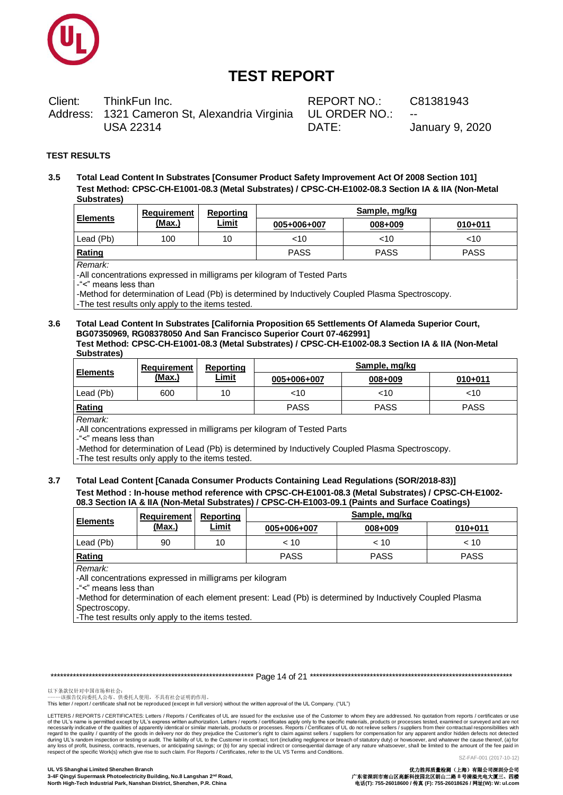

Client: ThinkFun Inc. Address: 1321 Cameron St, Alexandria Virginia **USA 22314** 

REPORT NO.: UL ORDER NO.: DATE:

C81381943

**January 9, 2020** 

### **TEST RESULTS**

 $3.5$ Total Lead Content In Substrates [Consumer Product Safety Improvement Act Of 2008 Section 101] Test Method: CPSC-CH-E1001-08.3 (Metal Substrates) / CPSC-CH-E1002-08.3 Section IA & IIA (Non-Metal **Substrates)** 

| <b>Elements</b> | Requirement | Reporting    | Sample, mg/kg |             |             |  |
|-----------------|-------------|--------------|---------------|-------------|-------------|--|
|                 | (Max.)      | <u>Limit</u> | 005+006+007   | 008+009     | $010 + 011$ |  |
| Lead (Pb)       | 100         | 10           | <10           | <10         | <10         |  |
| Rating          |             |              | <b>PASS</b>   | <b>PASS</b> | <b>PASS</b> |  |

#### Remark:

-All concentrations expressed in milligrams per kilogram of Tested Parts

-"<" means less than

-Method for determination of Lead (Pb) is determined by Inductively Coupled Plasma Spectroscopy. -The test results only apply to the items tested.

#### $3.6$ Total Lead Content In Substrates [California Proposition 65 Settlements Of Alameda Superior Court, BG07350969, RG08378050 And San Francisco Superior Court 07-4629911 Test Method: CPSC-CH-E1001-08.3 (Metal Substrates) / CPSC-CH-E1002-08.3 Section IA & IIA (Non-Metal Substrates)

| <b>Elements</b> | Requirement | Reporting    | Sample, mg/kg |             |             |  |  |
|-----------------|-------------|--------------|---------------|-------------|-------------|--|--|
|                 | (Max.)      | <u>Limit</u> | 005+006+007   | 008+009     | $010 + 011$ |  |  |
| Lead (Pb)       | 600         | 10           | <10           | <10         | <10         |  |  |
| Rating          |             |              | <b>PASS</b>   | <b>PASS</b> | <b>PASS</b> |  |  |

#### Remark:

-All concentrations expressed in milligrams per kilogram of Tested Parts

-"<" means less than

-Method for determination of Lead (Pb) is determined by Inductively Coupled Plasma Spectroscopy.

-The test results only apply to the items tested.

 $3.7$ Total Lead Content [Canada Consumer Products Containing Lead Regulations (SOR/2018-83)] Test Method : In-house method reference with CPSC-CH-E1001-08.3 (Metal Substrates) / CPSC-CH-E1002-08.3 Section 14.8 IIA (Non-Metal Substrates) / CPSC-CH-E1003-09.1 (Paints and Surface Coatings)

| <b>Elements</b> | Requirement                                             | Reporting    | Sample, mg/kg |         |             |  |  |  |
|-----------------|---------------------------------------------------------|--------------|---------------|---------|-------------|--|--|--|
|                 | (Max.)                                                  | <u>Limit</u> | 005+006+007   | 008+009 | $010 + 011$ |  |  |  |
| Lead (Pb)       | 90                                                      | 10           | ~< 10         | $~<$ 10 | $~<$ 10     |  |  |  |
| Rating          | <b>PASS</b><br><b>PASS</b><br><b>PASS</b>               |              |               |         |             |  |  |  |
| Remark:         | All conceptrations overcosed in milliareme per kilogram |              |               |         |             |  |  |  |

All concentrations expressed in milligrams per kilogram-

-"<" means less than

-Method for determination of each element present: Lead (Pb) is determined by Inductively Coupled Plasma Spectroscopy.

-The test results only apply to the items tested.

以下条款仅针对中国市场和社会:<br>-----该报告仅向委托人公布、供委托人使用, 不具有社会证明的作用。

This letter / report / certificate shall not be reproduced (except in full version) without the written approval of the UL Company. ("UL")

LETTERS / REPORTS / CERTIFICATES: Letters / Reports / Certificates of UL are issued for the exclusive use of the Customer to whom they are addressed. No quotation from reports / certificates or use Letters / reputs to the specific must be the solution. Letters / reputs is the solution of the specific materials, products or processes tested, examined or surveyed and are not contractual responsibilities of apparently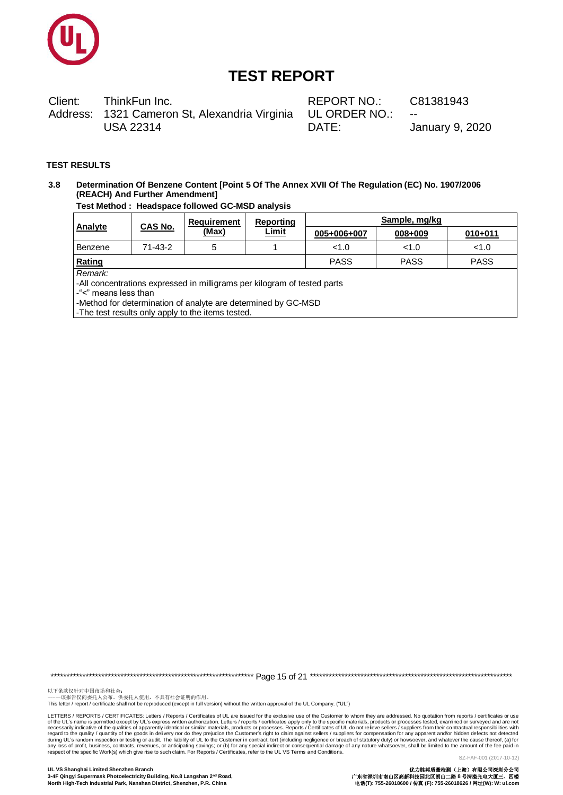

Client: ThinkFun Inc. Address: 1321 Cameron St, Alexandria Virginia **USA 22314** 

REPORT NO.: UL ORDER NO.: DATE:

C81381943

**January 9, 2020** 

### **TEST RESULTS**

#### Determination Of Benzene Content [Point 5 Of The Annex XVII Of The Regulation (EC) No. 1907/2006  $3.8$ (REACH) And Further Amendment]

### Test Method : Headspace followed GC-MSD analysis

|                                                     | <b>CAS No.</b> | Requirement                                                                                                                                                                                    | Reporting    | Sample, mg/kg |         |             |  |  |
|-----------------------------------------------------|----------------|------------------------------------------------------------------------------------------------------------------------------------------------------------------------------------------------|--------------|---------------|---------|-------------|--|--|
| <b>Analyte</b>                                      |                | (Max)                                                                                                                                                                                          | <b>Limit</b> | 005+006+007   | 008+009 | $010 + 011$ |  |  |
| Benzene                                             | 71-43-2        | 5                                                                                                                                                                                              |              | < 1.0         | < 1.0   | < 1.0       |  |  |
| <b>PASS</b><br>Rating<br><b>PASS</b><br><b>PASS</b> |                |                                                                                                                                                                                                |              |               |         |             |  |  |
| Remark:<br>-"<" means less than                     |                | -All concentrations expressed in milligrams per kilogram of tested parts<br>-Method for determination of analyte are determined by GC-MSD<br>-The test results only apply to the items tested. |              |               |         |             |  |  |

以下条款仅针对中国市场和社会:<br>-----该报告仅向委托人公布、供委托人使用,不具有社会证明的作用。

This letter / report / certificate shall not be reproduced (except in full version) without the written approval of the UL Company. ("UL")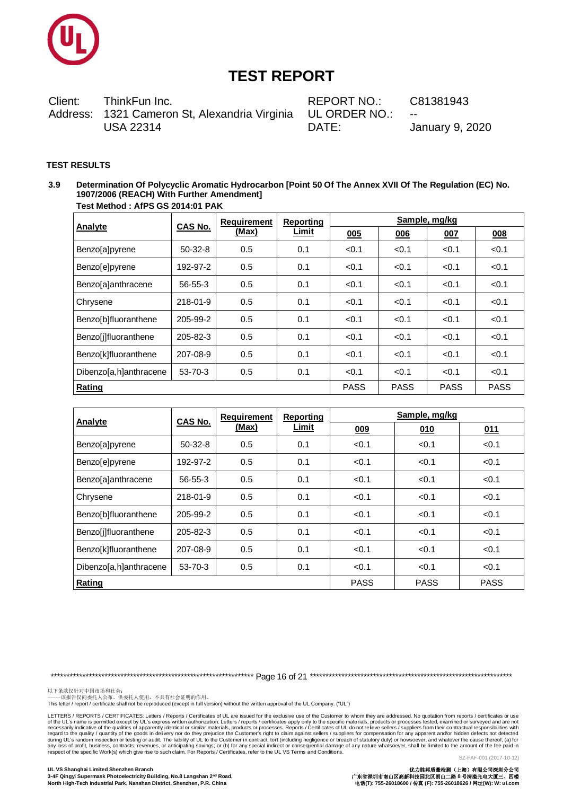

Client: ThinkFun Inc. Address: 1321 Cameron St, Alexandria Virginia **USA 22314** 

REPORT NO.: UL ORDER NO.: DATE:

C81381943

**January 9, 2020** 

#### **TEST RESULTS**

Determination Of Polycyclic Aromatic Hydrocarbon [Point 50 Of The Annex XVII Of The Regulation (EC) No.  $3.9$ 1907/2006 (REACH) With Further Amendment] Test Method: AfPS GS 2014:01 PAK

|                        | CAS No.       | <b>Requirement</b> | Reporting    | Sample, mg/kg |       |       |       |
|------------------------|---------------|--------------------|--------------|---------------|-------|-------|-------|
| <b>Analyte</b>         |               | (Max)              | <b>Limit</b> | 005           | 006   | 007   | 008   |
| Benzo[a]pyrene         | $50-32-8$     | 0.5                | 0.1          | < 0.1         | < 0.1 | < 0.1 | < 0.1 |
| Benzo[e]pyrene         | 192-97-2      | 0.5                | 0.1          | < 0.1         | < 0.1 | < 0.1 | < 0.1 |
| Benzo[a]anthracene     | 56-55-3       | 0.5                | 0.1          | < 0.1         | < 0.1 | < 0.1 | < 0.1 |
| Chrysene               | 218-01-9      | 0.5                | 0.1          | < 0.1         | < 0.1 | < 0.1 | < 0.1 |
| Benzo[b]fluoranthene   | 205-99-2      | 0.5                | 0.1          | < 0.1         | < 0.1 | < 0.1 | < 0.1 |
| Benzolilfluoranthene   | 205-82-3      | 0.5                | 0.1          | < 0.1         | < 0.1 | < 0.1 | < 0.1 |
| Benzo[k]fluoranthene   | 207-08-9      | 0.5                | 0.1          | < 0.1         | < 0.1 | < 0.1 | < 0.1 |
| Dibenzo[a,h]anthracene | $53 - 70 - 3$ | 0.5                | 0.1          | < 0.1         | < 0.1 | < 0.1 | < 0.1 |
| Rating                 | <b>PASS</b>   | <b>PASS</b>        | <b>PASS</b>  | <b>PASS</b>   |       |       |       |

| Analyte                | <b>CAS No.</b> | <b>Requirement</b> | <b>Reporting</b> |       | Sample, mg/kg |             |  |
|------------------------|----------------|--------------------|------------------|-------|---------------|-------------|--|
|                        |                | (Max)              | <b>Limit</b>     | 009   | 010           | 011         |  |
| <b>Benzo</b> [a]pyrene | $50-32-8$      | 0.5                | 0.1              | < 0.1 | < 0.1         | < 0.1       |  |
| Benzo[e]pyrene         | 192-97-2       | 0.5                | 0.1              | < 0.1 | < 0.1         | < 0.1       |  |
| Benzo[a]anthracene     | $56 - 55 - 3$  | 0.5                | 0.1              | < 0.1 | < 0.1         | < 0.1       |  |
| Chrysene               | 218-01-9       | 0.5                | 0.1              | < 0.1 | < 0.1         | < 0.1       |  |
| Benzo[b]fluoranthene   | 205-99-2       | 0.5                | 0.1              | < 0.1 | < 0.1         | < 0.1       |  |
| Benzo[j]fluoranthene   | 205-82-3       | 0.5                | 0.1              | < 0.1 | < 0.1         | < 0.1       |  |
| Benzo[k]fluoranthene   | 207-08-9       | 0.5                | 0.1              | < 0.1 | < 0.1         | < 0.1       |  |
| Dibenzo[a,h]anthracene | 53-70-3        | 0.5                | 0.1              | < 0.1 | < 0.1         | < 0.1       |  |
| Rating                 |                |                    |                  |       |               | <b>PASS</b> |  |

以下条款仅针对中国市场和社会:<br>-----该报告仅向委托人公布、供委托人使用,不具有社会证明的作用。

This letter / report / certificate shall not be reproduced (except in full version) without the written approval of the UL Company. ("UL")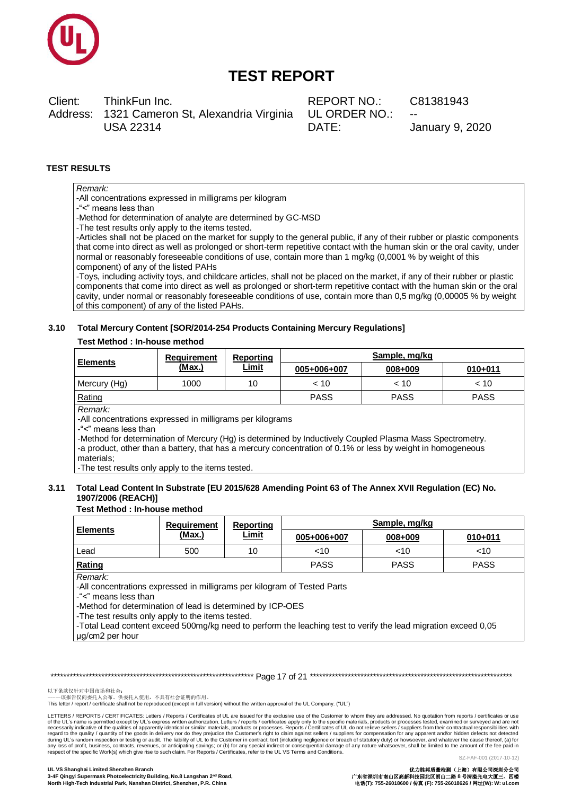

Client: ThinkFun Inc. Address: 1321 Cameron St, Alexandria Virginia **USA 22314** 

REPORT NO: **UL ORDER NO.:** DATE:

C81381943

**January 9, 2020** 

#### **TEST RESULTS**

### Remark:

-All concentrations expressed in milligrams per kilogram

-"<" means less than

-Method for determination of analyte are determined by GC-MSD

-The test results only apply to the items tested.

-Articles shall not be placed on the market for supply to the general public, if any of their rubber or plastic components that come into direct as well as prolonged or short-term repetitive contact with the human skin or the oral cavity, under normal or reasonably foreseeable conditions of use, contain more than 1 mg/kg (0,0001 % by weight of this component) of any of the listed PAHs

-Toys, including activity toys, and childcare articles, shall not be placed on the market, if any of their rubber or plastic components that come into direct as well as prolonged or short-term repetitive contact with the human skin or the oral cavity, under normal or reasonably foreseeable conditions of use, contain more than 0,5 mg/kg (0,00005 % by weight of this component) of any of the listed PAHs.

#### 3.10 Total Mercury Content [SOR/2014-254 Products Containing Mercury Regulations]

#### **Test Method: In-house method**

|                                                                                                                                                                                                                           | <b>Requirement</b><br>Reporting |              | Sample, mg/kg                                                                                            |         |             |  |  |
|---------------------------------------------------------------------------------------------------------------------------------------------------------------------------------------------------------------------------|---------------------------------|--------------|----------------------------------------------------------------------------------------------------------|---------|-------------|--|--|
| <b>Elements</b>                                                                                                                                                                                                           | (Max.)                          | <u>Limit</u> | 005+006+007                                                                                              | 008+009 | $010 + 011$ |  |  |
| Mercury (Hg)                                                                                                                                                                                                              | 1000                            | 10           | < 10                                                                                                     | < 10    | < 10        |  |  |
| <b>PASS</b><br>Rating<br><b>PASS</b><br><b>PASS</b>                                                                                                                                                                       |                                 |              |                                                                                                          |         |             |  |  |
| Remark:<br>-All concentrations expressed in milligrams per kilograms<br>-"<" means less than<br>-a product, other than a battery, that has a mercury concentration of 0.1% or less by weight in homogeneous<br>materials: |                                 |              | -Method for determination of Mercury (Hg) is determined by Inductively Coupled Plasma Mass Spectrometry. |         |             |  |  |

-The test results only apply to the items tested.

#### 3.11 Total Lead Content In Substrate [EU 2015/628 Amending Point 63 of The Annex XVII Regulation (EC) No. 1907/2006 (REACH)]

#### **Test Method: In-house method**

|                                                                                                         | Reporting<br><b>Requirement</b> |                                                                                                                                                                                                                                                                                                                                                  | Sample, mg/kg |             |  |
|---------------------------------------------------------------------------------------------------------|---------------------------------|--------------------------------------------------------------------------------------------------------------------------------------------------------------------------------------------------------------------------------------------------------------------------------------------------------------------------------------------------|---------------|-------------|--|
| <b>Elements</b>                                                                                         | (Max.)                          | Limit<br>008+009<br>005+006+007<br>10<br>$<$ 10<br>~10<br><b>PASS</b><br><b>PASS</b><br>-All concentrations expressed in milligrams per kilogram of Tested Parts<br>-Method for determination of lead is determined by ICP-OES<br>-Total Lead content exceed 500mg/kg need to perform the leaching test to verify the lead migration exceed 0,05 | 010+011       |             |  |
| Lead                                                                                                    | 500                             |                                                                                                                                                                                                                                                                                                                                                  |               | $<$ 10      |  |
| Rating                                                                                                  |                                 |                                                                                                                                                                                                                                                                                                                                                  |               | <b>PASS</b> |  |
| Remark:<br>-"<" means less than<br>-The test results only apply to the items tested.<br>µg/cm2 per hour |                                 |                                                                                                                                                                                                                                                                                                                                                  |               |             |  |

以下条款仅针对中国市场和社会:<br>-----该报告仅向委托人公布、供委托人使用, 不具有社会证明的作用。

This letter / report / certificate shall not be reproduced (except in full version) without the written approval of the UL Company. ("UL")

LETTERS / REPORTS / CERTIFICATES: Letters / Reports / Certificates of UL are issued for the exclusive use of the Customer to whom they are addressed. No quotation from reports / certificates or use Letters / reputs to the specific must be the solution. Letters / reputs is the solution of the specific materials, products or processes tested, examined or surveyed and are not contractual responsibilities of apparently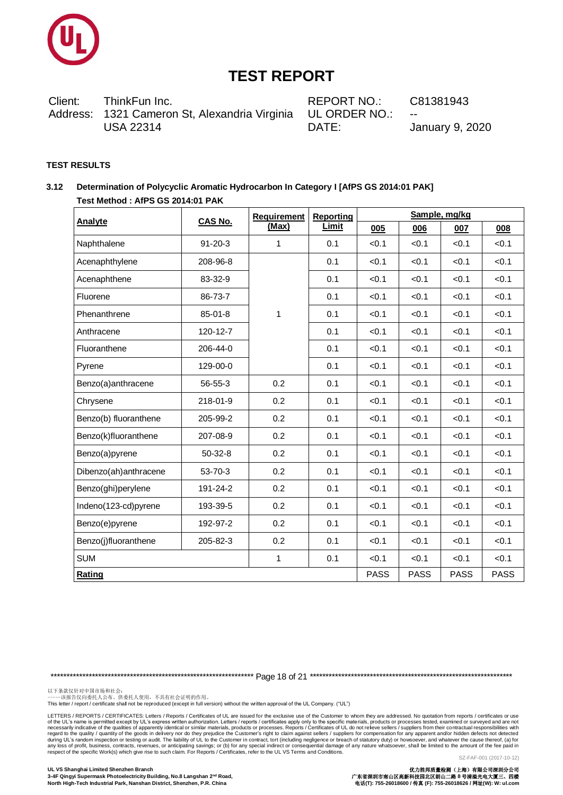

Client: ThinkFun Inc. Address: 1321 Cameron St, Alexandria Virginia **USA 22314** 

REPORT NO.: UL ORDER NO.: DATE:

C81381943

January 9, 2020

### **TEST RESULTS**

#### Determination of Polycyclic Aromatic Hydrocarbon In Category I [AfPS GS 2014:01 PAK]  $3.12$ Test Method: AfPS GS 2014:01 PAK

| <b>Analyte</b>        | <b>CAS No.</b> | <b>Requirement</b> | <b>Reporting</b> |             |             | Sample, mg/kg |             |
|-----------------------|----------------|--------------------|------------------|-------------|-------------|---------------|-------------|
|                       |                | (Max)              | Limit            | 005         | 006         | 007           | 008         |
| Naphthalene           | $91 - 20 - 3$  | 1                  | 0.1              | < 0.1       | < 0.1       | < 0.1         | < 0.1       |
| Acenaphthylene        | 208-96-8       |                    | 0.1              | < 0.1       | < 0.1       | < 0.1         | < 0.1       |
| Acenaphthene          | 83-32-9        |                    | 0.1              | < 0.1       | < 0.1       | < 0.1         | < 0.1       |
| Fluorene              | 86-73-7        |                    | 0.1              | < 0.1       | < 0.1       | < 0.1         | < 0.1       |
| Phenanthrene          | 85-01-8        | 1                  | 0.1              | < 0.1       | < 0.1       | < 0.1         | < 0.1       |
| Anthracene            | 120-12-7       |                    | 0.1              | < 0.1       | < 0.1       | < 0.1         | < 0.1       |
| Fluoranthene          | 206-44-0       |                    | 0.1              | < 0.1       | < 0.1       | < 0.1         | < 0.1       |
| Pyrene                | 129-00-0       |                    | 0.1              | < 0.1       | < 0.1       | < 0.1         | < 0.1       |
| Benzo(a)anthracene    | 56-55-3        | 0.2                | 0.1              | < 0.1       | < 0.1       | < 0.1         | < 0.1       |
| Chrysene              | 218-01-9       | 0.2                | 0.1              | < 0.1       | < 0.1       | < 0.1         | < 0.1       |
| Benzo(b) fluoranthene | 205-99-2       | 0.2                | 0.1              | < 0.1       | < 0.1       | < 0.1         | < 0.1       |
| Benzo(k)fluoranthene  | 207-08-9       | 0.2                | 0.1              | < 0.1       | < 0.1       | < 0.1         | < 0.1       |
| Benzo(a)pyrene        | $50-32-8$      | 0.2                | 0.1              | < 0.1       | < 0.1       | < 0.1         | < 0.1       |
| Dibenzo(ah)anthracene | 53-70-3        | 0.2                | 0.1              | < 0.1       | < 0.1       | < 0.1         | < 0.1       |
| Benzo(ghi)perylene    | 191-24-2       | 0.2                | 0.1              | < 0.1       | < 0.1       | < 0.1         | < 0.1       |
| Indeno(123-cd)pyrene  | 193-39-5       | 0.2                | 0.1              | < 0.1       | < 0.1       | < 0.1         | < 0.1       |
| Benzo(e)pyrene        | 192-97-2       | 0.2                | 0.1              | < 0.1       | < 0.1       | < 0.1         | < 0.1       |
| Benzo(j)fluoranthene  | 205-82-3       | 0.2                | 0.1              | < 0.1       | < 0.1       | < 0.1         | < 0.1       |
| <b>SUM</b>            |                | 1                  | 0.1              | < 0.1       | < 0.1       | < 0.1         | < 0.1       |
| Rating                |                |                    |                  | <b>PASS</b> | <b>PASS</b> | <b>PASS</b>   | <b>PASS</b> |

以下条款仅针对中国市场和社会:<br>-----该报告仅向委托人公布、供委托人使用,不具有社会证明的作用。

This letter / report / certificate shall not be reproduced (except in full version) without the written approval of the UL Company. ("UL")

LETTERS / REPORTS / CERTIFICATES: Letters / Reports / Certificates of UL are issued for the exclusive use of the Customer to whom they are addressed. No quotation from reports / certificates or use Letters / republicative of the qualities of apparently identical about the synchange of the Sixters / reducts or processes. Reports in the increase the section and conditions of the ULVs Tems and Conditions. Letters / rep SZ-FAF-001 (2017-10-12)

优力胜邦质量检测(上海)有限公司探测分公司<br>广东省深圳市南山区高新科技园北区朗山二路 8 号清溢光电大厦三、四楼<br>电话(T): 755-26018600 / 传真 (F): 755-26018626 / 网址(W): W: ul.com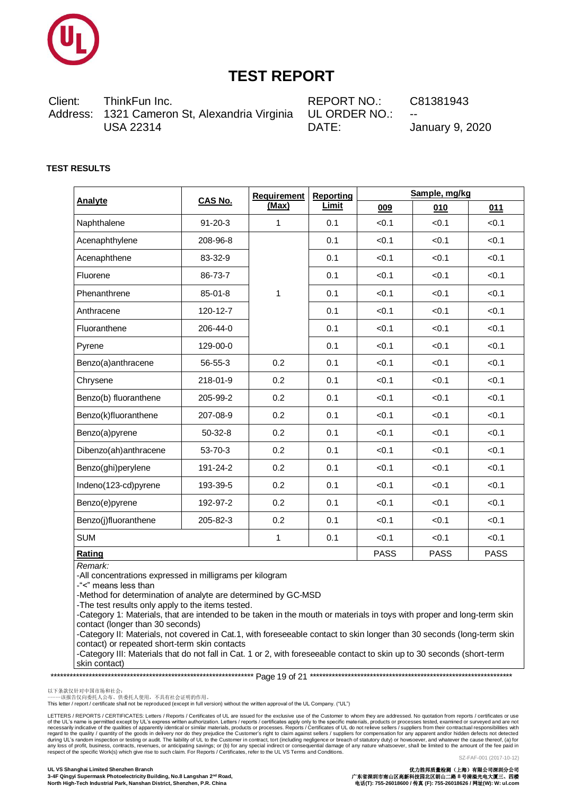

Client: ThinkFun Inc. 1321 Cameron St, Alexandria Virginia Address: **USA 22314** 

REPORT NO: UL ORDER NO.: DATE:

C81381943

**January 9, 2020** 

### **TEST RESULTS**

| <b>Analyte</b>        | <b>CAS No.</b> | <b>Requirement</b><br>(Max) | <b>Reporting</b><br>Limit | Sample, mg/kg |             |       |
|-----------------------|----------------|-----------------------------|---------------------------|---------------|-------------|-------|
|                       |                |                             |                           | 009           | 010         | 011   |
| Naphthalene           | $91 - 20 - 3$  | 1                           | 0.1                       | < 0.1         | < 0.1       | < 0.1 |
| Acenaphthylene        | 208-96-8       |                             | 0.1                       | < 0.1         | < 0.1       | < 0.1 |
| Acenaphthene          | 83-32-9        | 1                           | 0.1                       | < 0.1         | < 0.1       | < 0.1 |
| Fluorene              | 86-73-7        |                             | 0.1                       | < 0.1         | < 0.1       | < 0.1 |
| Phenanthrene          | 85-01-8        |                             | 0.1                       | < 0.1         | < 0.1       | < 0.1 |
| Anthracene            | 120-12-7       |                             | 0.1                       | < 0.1         | < 0.1       | < 0.1 |
| Fluoranthene          | 206-44-0       |                             | 0.1                       | < 0.1         | < 0.1       | < 0.1 |
| Pyrene                | 129-00-0       |                             | 0.1                       | < 0.1         | < 0.1       | < 0.1 |
| Benzo(a)anthracene    | 56-55-3        | 0.2                         | 0.1                       | < 0.1         | < 0.1       | < 0.1 |
| Chrysene              | 218-01-9       | 0.2                         | 0.1                       | < 0.1         | < 0.1       | < 0.1 |
| Benzo(b) fluoranthene | 205-99-2       | 0.2                         | 0.1                       | < 0.1         | < 0.1       | < 0.1 |
| Benzo(k)fluoranthene  | 207-08-9       | 0.2                         | 0.1                       | < 0.1         | < 0.1       | < 0.1 |
| Benzo(a)pyrene        | $50 - 32 - 8$  | 0.2                         | 0.1                       | < 0.1         | < 0.1       | < 0.1 |
| Dibenzo(ah)anthracene | 53-70-3        | 0.2                         | 0.1                       | < 0.1         | < 0.1       | < 0.1 |
| Benzo(ghi)perylene    | 191-24-2       | 0.2                         | 0.1                       | < 0.1         | < 0.1       | < 0.1 |
| Indeno(123-cd)pyrene  | 193-39-5       | 0.2                         | 0.1                       | < 0.1         | < 0.1       | < 0.1 |
| Benzo(e)pyrene        | 192-97-2       | 0.2                         | 0.1                       | < 0.1         | < 0.1       | < 0.1 |
| Benzo(j)fluoranthene  | 205-82-3       | 0.2                         | 0.1                       | < 0.1         | < 0.1       | < 0.1 |
| <b>SUM</b>            |                | 1                           | 0.1                       | < 0.1         | < 0.1       | < 0.1 |
| Rating                |                |                             | <b>PASS</b>               | <b>PASS</b>   | <b>PASS</b> |       |

Remark<sup>.</sup>

-All concentrations expressed in milligrams per kilogram

-"<" means less than

-Method for determination of analyte are determined by GC-MSD

-The test results only apply to the items tested.

-Category 1: Materials, that are intended to be taken in the mouth or materials in toys with proper and long-term skin contact (longer than 30 seconds)

-Category II: Materials, not covered in Cat.1, with foreseeable contact to skin longer than 30 seconds (long-term skin contact) or repeated short-term skin contacts

-Category III: Materials that do not fall in Cat. 1 or 2, with foreseeable contact to skin up to 30 seconds (short-term skin contact)

以下条款仅针对中国市场和社会:<br>-----该报告仅向委托人公布、供委托人使用, 不具有社会证明的作用。

This letter / report / certificate shall not be reproduced (except in full version) without the written approval of the UL Company. ("UL")

LETTERS / REPORTS / CERTIFICATES: Letters / Reports / Certificates of UL are issued for the exclusive use of the Customer to whom they are addressed. No quotation from reports / certificates or use Letters / reputs to the specific must be the solution. Letters / reputs is the solution of the specific materials, products or processes tested, examined or surveyed and are not contractual responsibilities of apparently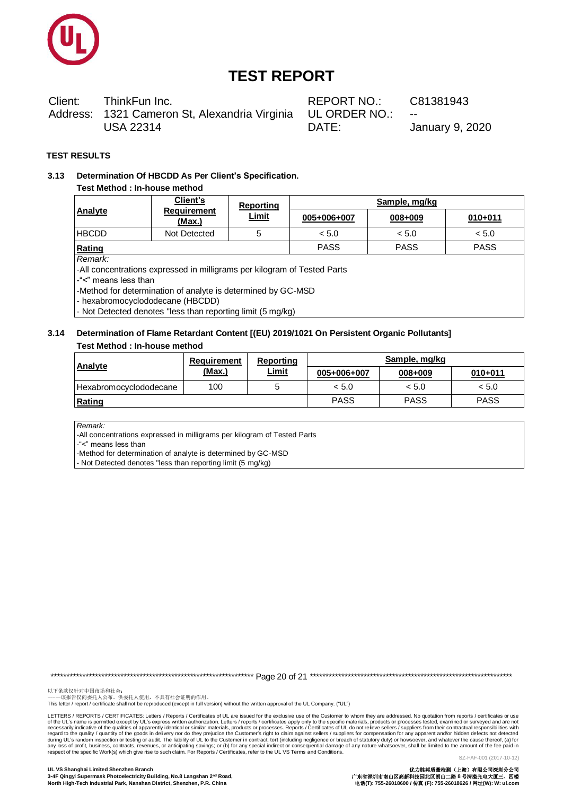

Client: ThinkFun Inc. Address: 1321 Cameron St, Alexandria Virginia **USA 22314** 

REPORT NO: UL ORDER NO.: DATE:

C81381943

**January 9, 2020** 

### **TEST RESULTS**

#### Determination Of HBCDD As Per Client's Specification.  $3.13$

### Test Method : In-house method

|                                                                          | Client's<br><b>Requirement</b><br>(Max.) | Reporting<br><b>Limit</b> | Sample, mg/kg |             |             |  |  |
|--------------------------------------------------------------------------|------------------------------------------|---------------------------|---------------|-------------|-------------|--|--|
| Analyte                                                                  |                                          |                           | 005+006+007   | 008+009     | $010 + 011$ |  |  |
| <b>HBCDD</b>                                                             | Not Detected                             | 5                         | < 5.0         | < 5.0       | < 5.0       |  |  |
| Rating                                                                   |                                          |                           | <b>PASS</b>   | <b>PASS</b> | <b>PASS</b> |  |  |
| Remark:                                                                  |                                          |                           |               |             |             |  |  |
| -All concentrations expressed in milligrams per kilogram of Tested Parts |                                          |                           |               |             |             |  |  |
| -"<" means less than                                                     |                                          |                           |               |             |             |  |  |
| -Method for determination of analyte is determined by GC-MSD             |                                          |                           |               |             |             |  |  |
| - hexabromocyclododecane (HBCDD)                                         |                                          |                           |               |             |             |  |  |

- Not Detected denotes "less than reporting limit (5 mg/kg)

### 3.14 Determination of Flame Retardant Content [(EU) 2019/1021 On Persistent Organic Pollutants] Test Method : In-house method

| <b>Analyte</b>         | <b>Requirement</b><br>(Max.) | Reporting<br><u>Limit</u> | Sample, mg/kg |             |             |  |
|------------------------|------------------------------|---------------------------|---------------|-------------|-------------|--|
|                        |                              |                           | 005+006+007   | 008+009     | $010 + 011$ |  |
| Hexabromocyclododecane | 100                          |                           | < 5.0         | < 5.0       | < 5.0       |  |
| Rating                 |                              |                           | <b>PASS</b>   | <b>PASS</b> | <b>PASS</b> |  |

Remark:

-All concentrations expressed in milligrams per kilogram of Tested Parts

-"<" means less than

-Method for determination of analyte is determined by GC-MSD

- Not Detected denotes "less than reporting limit (5 mg/kg)

以下条款仅针对中国市场和社会:<br>-----该报告仅向委托人公布、供委托人使用, 不具有社会证明的作用。

This letter / report / certificate shall not be reproduced (except in full version) without the written approval of the UL Company. ("UL")

LETTERS / REPORTS / CERTIFICATES: Letters / Reports / Certificates of UL are issued for the exclusive use of the Customer to whom they are addressed. No quotation from reports / certificates or use Letters / reputs to the specific must be the solution. Letters / reputs is the solution of the specific materials, products or processes tested, examined or surveyed and are not contractual responsibilities of apparently SZ-FAF-001 (2017-10-12)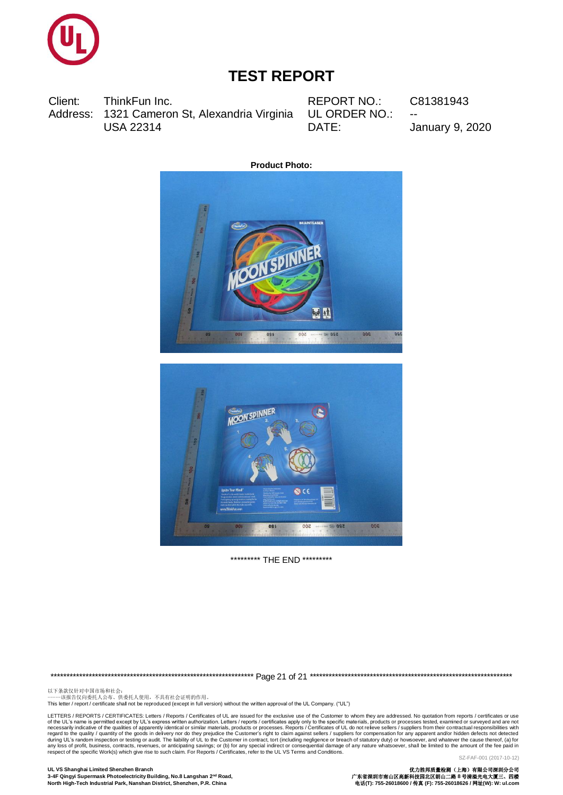

Client: ThinkFun Inc. Address: 1321 Cameron St, Alexandria Virginia **USA 22314** 

**REPORT NO.:** UL ORDER NO.: DATE:

C81381943

**January 9, 2020** 





\*\*\*\*\*\*\*\*\*\* THE END \*\*\*\*\*\*\*\*\*

以下条款仅针对中国市场和社会:<br>-----该报告仅向委托人公布、供委托人使用,不具有社会证明的作用。

This letter / report / certificate shall not be reproduced (except in full version) without the written approval of the UL Company. ("UL")

LETTERS / REPORTS / CERTIFICATES: Letters / Reports / Certificates of UL are issued for the exclusive use of the Customer to whom they are addressed. No quotation from reports / certificates or use Letters / republicative of the qualities of apparently identical about the synchange of the Sixters / reducts or processes. Reports in the increase the section and conditions of the ULVs Tems and Conditions. Letters / rep SZ-FAF-001 (2017-10-12)

UL VS Shanghai Limited Shenzhen Branch 3-4F Qingyi Supermask Photoelectricity Building, No.8 Langshan 2<sup>nd</sup> Road, North High-Tech Industrial Park, Nanshan District, Shenzhen, P.R. China

优力胜邦质量检测(上海)有限公司深圳分公司<br>广东省深圳市南山区高新科技园北区朗山二路 8 号清溢光电大厦三、四楼<br>电话(T): 755-26018600 / 传真 (F): 755-26018626 / 网址(W): W: ul.com